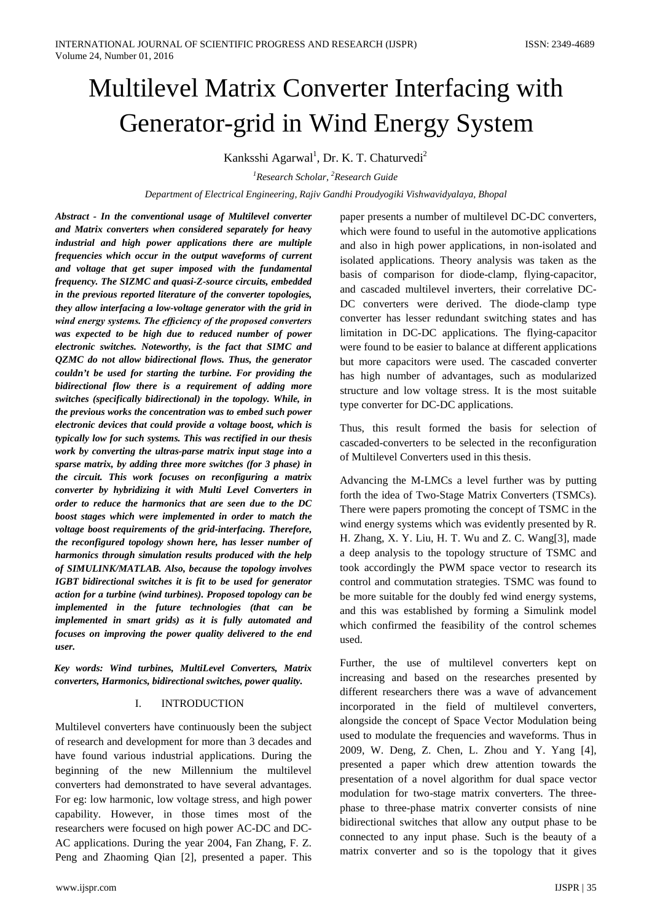# Multilevel Matrix Converter Interfacing with Generator-grid in Wind Energy System

Kanksshi Agarwal<sup>1</sup>, Dr. K. T. Chaturvedi<sup>2</sup>

*1 Research Scholar, 2 Research Guide*

*Department of Electrical Engineering, Rajiv Gandhi Proudyogiki Vishwavidyalaya, Bhopal*

*Abstract - In the conventional usage of Multilevel converter and Matrix converters when considered separately for heavy industrial and high power applications there are multiple frequencies which occur in the output waveforms of current and voltage that get super imposed with the fundamental frequency. The SIZMC and quasi-Z-source circuits, embedded in the previous reported literature of the converter topologies, they allow interfacing a low-voltage generator with the grid in wind energy systems. The efficiency of the proposed converters was expected to be high due to reduced number of power electronic switches. Noteworthy, is the fact that SIMC and QZMC do not allow bidirectional flows. Thus, the generator couldn't be used for starting the turbine. For providing the bidirectional flow there is a requirement of adding more switches (specifically bidirectional) in the topology. While, in the previous works the concentration was to embed such power electronic devices that could provide a voltage boost, which is typically low for such systems. This was rectified in our thesis work by converting the ultras-parse matrix input stage into a sparse matrix, by adding three more switches (for 3 phase) in the circuit. This work focuses on reconfiguring a matrix converter by hybridizing it with Multi Level Converters in order to reduce the harmonics that are seen due to the DC boost stages which were implemented in order to match the voltage boost requirements of the grid-interfacing. Therefore, the reconfigured topology shown here, has lesser number of harmonics through simulation results produced with the help of SIMULINK/MATLAB. Also, because the topology involves IGBT bidirectional switches it is fit to be used for generator action for a turbine (wind turbines). Proposed topology can be implemented in the future technologies (that can be implemented in smart grids) as it is fully automated and focuses on improving the power quality delivered to the end user.*

*Key words: Wind turbines, MultiLevel Converters, Matrix converters, Harmonics, bidirectional switches, power quality.*

# I. INTRODUCTION

Multilevel converters have continuously been the subject of research and development for more than 3 decades and have found various industrial applications. During the beginning of the new Millennium the multilevel converters had demonstrated to have several advantages. For eg: low harmonic, low voltage stress, and high power capability. However, in those times most of the researchers were focused on high power AC-DC and DC-AC applications. During the year 2004, Fan Zhang, F. Z. Peng and Zhaoming Qian [2], presented a paper. This paper presents a number of multilevel DC-DC converters, which were found to useful in the automotive applications and also in high power applications, in non-isolated and isolated applications. Theory analysis was taken as the basis of comparison for diode-clamp, flying-capacitor, and cascaded multilevel inverters, their correlative DC-DC converters were derived. The diode-clamp type converter has lesser redundant switching states and has limitation in DC-DC applications. The flying-capacitor were found to be easier to balance at different applications but more capacitors were used. The cascaded converter has high number of advantages, such as modularized structure and low voltage stress. It is the most suitable type converter for DC-DC applications.

Thus, this result formed the basis for selection of cascaded-converters to be selected in the reconfiguration of Multilevel Converters used in this thesis.

Advancing the M-LMCs a level further was by putting forth the idea of Two-Stage Matrix Converters (TSMCs). There were papers promoting the concept of TSMC in the wind energy systems which was evidently presented by R. H. Zhang, X. Y. Liu, H. T. Wu and Z. C. Wang[3], made a deep analysis to the topology structure of TSMC and took accordingly the PWM space vector to research its control and commutation strategies. TSMC was found to be more suitable for the doubly fed wind energy systems, and this was established by forming a Simulink model which confirmed the feasibility of the control schemes used.

Further, the use of multilevel converters kept on increasing and based on the researches presented by different researchers there was a wave of advancement incorporated in the field of multilevel converters, alongside the concept of Space Vector Modulation being used to modulate the frequencies and waveforms. Thus in 2009, W. Deng, Z. Chen, L. Zhou and Y. Yang [4], presented a paper which drew attention towards the presentation of a novel algorithm for dual space vector modulation for two-stage matrix converters. The threephase to three-phase matrix converter consists of nine bidirectional switches that allow any output phase to be connected to any input phase. Such is the beauty of a matrix converter and so is the topology that it gives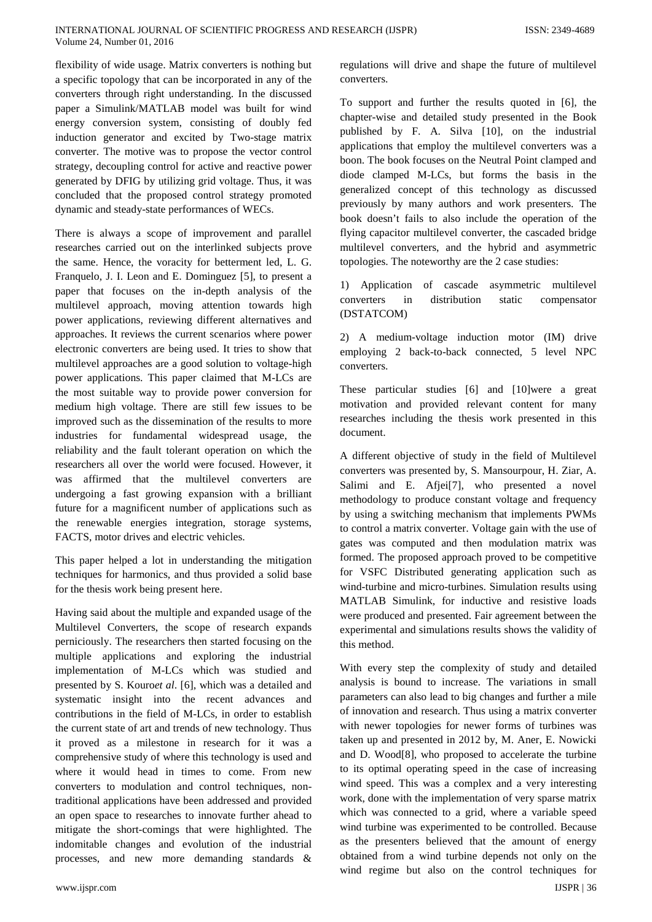flexibility of wide usage. Matrix converters is nothing but a specific topology that can be incorporated in any of the converters through right understanding. In the discussed paper a Simulink/MATLAB model was built for wind energy conversion system, consisting of doubly fed induction generator and excited by Two-stage matrix converter. The motive was to propose the vector control strategy, decoupling control for active and reactive power generated by DFIG by utilizing grid voltage. Thus, it was concluded that the proposed control strategy promoted dynamic and steady-state performances of WECs.

There is always a scope of improvement and parallel researches carried out on the interlinked subjects prove the same. Hence, the voracity for betterment led, L. G. Franquelo, J. I. Leon and E. Dominguez [5], to present a paper that focuses on the in-depth analysis of the multilevel approach, moving attention towards high power applications, reviewing different alternatives and approaches. It reviews the current scenarios where power electronic converters are being used. It tries to show that multilevel approaches are a good solution to voltage-high power applications. This paper claimed that M-LCs are the most suitable way to provide power conversion for medium high voltage. There are still few issues to be improved such as the dissemination of the results to more industries for fundamental widespread usage, the reliability and the fault tolerant operation on which the researchers all over the world were focused. However, it was affirmed that the multilevel converters are undergoing a fast growing expansion with a brilliant future for a magnificent number of applications such as the renewable energies integration, storage systems, FACTS, motor drives and electric vehicles.

This paper helped a lot in understanding the mitigation techniques for harmonics, and thus provided a solid base for the thesis work being present here.

Having said about the multiple and expanded usage of the Multilevel Converters, the scope of research expands perniciously. The researchers then started focusing on the multiple applications and exploring the industrial implementation of M-LCs which was studied and presented by S. Kouro*et al*. [6], which was a detailed and systematic insight into the recent advances and contributions in the field of M-LCs, in order to establish the current state of art and trends of new technology. Thus it proved as a milestone in research for it was a comprehensive study of where this technology is used and where it would head in times to come. From new converters to modulation and control techniques, nontraditional applications have been addressed and provided an open space to researches to innovate further ahead to mitigate the short-comings that were highlighted. The indomitable changes and evolution of the industrial processes, and new more demanding standards &

regulations will drive and shape the future of multilevel converters.

To support and further the results quoted in [6], the chapter-wise and detailed study presented in the Book published by F. A. Silva [10], on the industrial applications that employ the multilevel converters was a boon. The book focuses on the Neutral Point clamped and diode clamped M-LCs, but forms the basis in the generalized concept of this technology as discussed previously by many authors and work presenters. The book doesn't fails to also include the operation of the flying capacitor multilevel converter, the cascaded bridge multilevel converters, and the hybrid and asymmetric topologies. The noteworthy are the 2 case studies:

1) Application of cascade asymmetric multilevel converters in distribution static compensator (DSTATCOM)

2) A medium-voltage induction motor (IM) drive employing 2 back-to-back connected, 5 level NPC converters.

These particular studies [6] and [10]were a great motivation and provided relevant content for many researches including the thesis work presented in this document.

A different objective of study in the field of Multilevel converters was presented by, S. Mansourpour, H. Ziar, A. Salimi and E. Afjei[7], who presented a novel methodology to produce constant voltage and frequency by using a switching mechanism that implements PWMs to control a matrix converter. Voltage gain with the use of gates was computed and then modulation matrix was formed. The proposed approach proved to be competitive for VSFC Distributed generating application such as wind-turbine and micro-turbines. Simulation results using MATLAB Simulink, for inductive and resistive loads were produced and presented. Fair agreement between the experimental and simulations results shows the validity of this method.

With every step the complexity of study and detailed analysis is bound to increase. The variations in small parameters can also lead to big changes and further a mile of innovation and research. Thus using a matrix converter with newer topologies for newer forms of turbines was taken up and presented in 2012 by, M. Aner, E. Nowicki and D. Wood[8], who proposed to accelerate the turbine to its optimal operating speed in the case of increasing wind speed. This was a complex and a very interesting work, done with the implementation of very sparse matrix which was connected to a grid, where a variable speed wind turbine was experimented to be controlled. Because as the presenters believed that the amount of energy obtained from a wind turbine depends not only on the wind regime but also on the control techniques for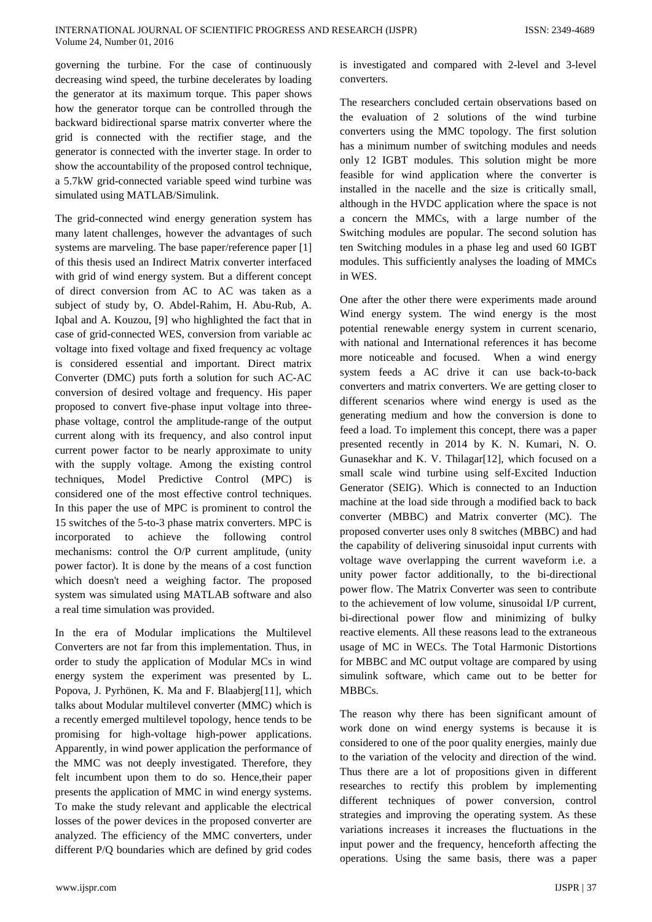governing the turbine. For the case of continuously decreasing wind speed, the turbine decelerates by loading the generator at its maximum torque. This paper shows how the generator torque can be controlled through the backward bidirectional sparse matrix converter where the grid is connected with the rectifier stage, and the generator is connected with the inverter stage. In order to show the accountability of the proposed control technique, a 5.7kW grid-connected variable speed wind turbine was simulated using MATLAB/Simulink.

The grid-connected wind energy generation system has many latent challenges, however the advantages of such systems are marveling. The base paper/reference paper [1] of this thesis used an Indirect Matrix converter interfaced with grid of wind energy system. But a different concept of direct conversion from AC to AC was taken as a subject of study by, O. Abdel-Rahim, H. Abu-Rub, A. Iqbal and A. Kouzou, [9] who highlighted the fact that in case of grid-connected WES, conversion from variable ac voltage into fixed voltage and fixed frequency ac voltage is considered essential and important. Direct matrix Converter (DMC) puts forth a solution for such AC-AC conversion of desired voltage and frequency. His paper proposed to convert five-phase input voltage into threephase voltage, control the amplitude-range of the output current along with its frequency, and also control input current power factor to be nearly approximate to unity with the supply voltage. Among the existing control techniques, Model Predictive Control (MPC) is considered one of the most effective control techniques. In this paper the use of MPC is prominent to control the 15 switches of the 5-to-3 phase matrix converters. MPC is incorporated to achieve the following control mechanisms: control the O/P current amplitude, (unity power factor). It is done by the means of a cost function which doesn't need a weighing factor. The proposed system was simulated using MATLAB software and also a real time simulation was provided.

In the era of Modular implications the Multilevel Converters are not far from this implementation. Thus, in order to study the application of Modular MCs in wind energy system the experiment was presented by L. Popova, J. Pyrhönen, K. Ma and F. Blaabjerg[11], which talks about Modular multilevel converter (MMC) which is a recently emerged multilevel topology, hence tends to be promising for high-voltage high-power applications. Apparently, in wind power application the performance of the MMC was not deeply investigated. Therefore, they felt incumbent upon them to do so. Hence,their paper presents the application of MMC in wind energy systems. To make the study relevant and applicable the electrical losses of the power devices in the proposed converter are analyzed. The efficiency of the MMC converters, under different P/Q boundaries which are defined by grid codes

The researchers concluded certain observations based on the evaluation of 2 solutions of the wind turbine converters using the MMC topology. The first solution has a minimum number of switching modules and needs only 12 IGBT modules. This solution might be more feasible for wind application where the converter is installed in the nacelle and the size is critically small, although in the HVDC application where the space is not a concern the MMCs, with a large number of the Switching modules are popular. The second solution has ten Switching modules in a phase leg and used 60 IGBT modules. This sufficiently analyses the loading of MMCs in WES.

One after the other there were experiments made around Wind energy system. The wind energy is the most potential renewable energy system in current scenario, with national and International references it has become more noticeable and focused. When a wind energy system feeds a AC drive it can use back-to-back converters and matrix converters. We are getting closer to different scenarios where wind energy is used as the generating medium and how the conversion is done to feed a load. To implement this concept, there was a paper presented recently in 2014 by K. N. Kumari, N. O. Gunasekhar and K. V. Thilagar<sup>[12]</sup>, which focused on a small scale wind turbine using self-Excited Induction Generator (SEIG). Which is connected to an Induction machine at the load side through a modified back to back converter (MBBC) and Matrix converter (MC). The proposed converter uses only 8 switches (MBBC) and had the capability of delivering sinusoidal input currents with voltage wave overlapping the current waveform i.e. a unity power factor additionally, to the bi-directional power flow. The Matrix Converter was seen to contribute to the achievement of low volume, sinusoidal I/P current, bi-directional power flow and minimizing of bulky reactive elements. All these reasons lead to the extraneous usage of MC in WECs. The Total Harmonic Distortions for MBBC and MC output voltage are compared by using simulink software, which came out to be better for MBBCs.

The reason why there has been significant amount of work done on wind energy systems is because it is considered to one of the poor quality energies, mainly due to the variation of the velocity and direction of the wind. Thus there are a lot of propositions given in different researches to rectify this problem by implementing different techniques of power conversion, control strategies and improving the operating system. As these variations increases it increases the fluctuations in the input power and the frequency, henceforth affecting the operations. Using the same basis, there was a paper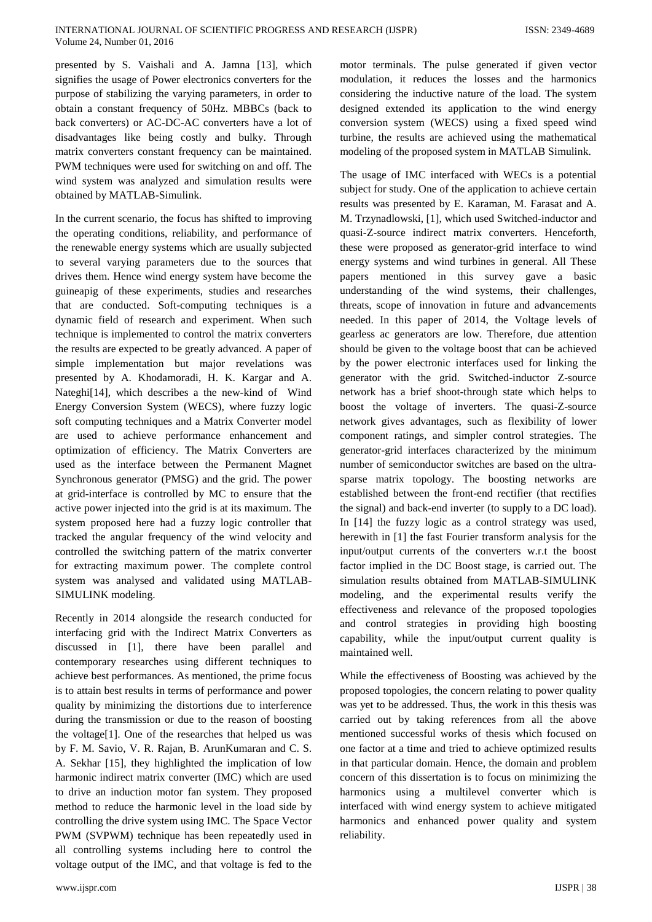presented by S. Vaishali and A. Jamna [13], which signifies the usage of Power electronics converters for the purpose of stabilizing the varying parameters, in order to obtain a constant frequency of 50Hz. MBBCs (back to back converters) or AC-DC-AC converters have a lot of disadvantages like being costly and bulky. Through matrix converters constant frequency can be maintained. PWM techniques were used for switching on and off. The wind system was analyzed and simulation results were obtained by MATLAB-Simulink.

In the current scenario, the focus has shifted to improving the operating conditions, reliability, and performance of the renewable energy systems which are usually subjected to several varying parameters due to the sources that drives them. Hence wind energy system have become the guineapig of these experiments, studies and researches that are conducted. Soft-computing techniques is a dynamic field of research and experiment. When such technique is implemented to control the matrix converters the results are expected to be greatly advanced. A paper of simple implementation but major revelations was presented by A. Khodamoradi, H. K. Kargar and A. Nateghi[14], which describes a the new-kind of Wind Energy Conversion System (WECS), where fuzzy logic soft computing techniques and a Matrix Converter model are used to achieve performance enhancement and optimization of efficiency. The Matrix Converters are used as the interface between the Permanent Magnet Synchronous generator (PMSG) and the grid. The power at grid-interface is controlled by MC to ensure that the active power injected into the grid is at its maximum. The system proposed here had a fuzzy logic controller that tracked the angular frequency of the wind velocity and controlled the switching pattern of the matrix converter for extracting maximum power. The complete control system was analysed and validated using MATLAB-SIMULINK modeling.

Recently in 2014 alongside the research conducted for interfacing grid with the Indirect Matrix Converters as discussed in [1], there have been parallel and contemporary researches using different techniques to achieve best performances. As mentioned, the prime focus is to attain best results in terms of performance and power quality by minimizing the distortions due to interference during the transmission or due to the reason of boosting the voltage[1]. One of the researches that helped us was by F. M. Savio, V. R. Rajan, B. ArunKumaran and C. S. A. Sekhar [15], they highlighted the implication of low harmonic indirect matrix converter (IMC) which are used to drive an induction motor fan system. They proposed method to reduce the harmonic level in the load side by controlling the drive system using IMC. The Space Vector PWM (SVPWM) technique has been repeatedly used in all controlling systems including here to control the voltage output of the IMC, and that voltage is fed to the

motor terminals. The pulse generated if given vector modulation, it reduces the losses and the harmonics considering the inductive nature of the load. The system designed extended its application to the wind energy conversion system (WECS) using a fixed speed wind turbine, the results are achieved using the mathematical modeling of the proposed system in MATLAB Simulink.

The usage of IMC interfaced with WECs is a potential subject for study. One of the application to achieve certain results was presented by E. Karaman, M. Farasat and A. M. Trzynadlowski, [1], which used Switched-inductor and quasi-Z-source indirect matrix converters. Henceforth, these were proposed as generator-grid interface to wind energy systems and wind turbines in general. All These papers mentioned in this survey gave a basic understanding of the wind systems, their challenges, threats, scope of innovation in future and advancements needed. In this paper of 2014, the Voltage levels of gearless ac generators are low. Therefore, due attention should be given to the voltage boost that can be achieved by the power electronic interfaces used for linking the generator with the grid. Switched-inductor Z-source network has a brief shoot-through state which helps to boost the voltage of inverters. The quasi-Z-source network gives advantages, such as flexibility of lower component ratings, and simpler control strategies. The generator-grid interfaces characterized by the minimum number of semiconductor switches are based on the ultrasparse matrix topology. The boosting networks are established between the front-end rectifier (that rectifies the signal) and back-end inverter (to supply to a DC load). In [14] the fuzzy logic as a control strategy was used, herewith in [1] the fast Fourier transform analysis for the input/output currents of the converters w.r.t the boost factor implied in the DC Boost stage, is carried out. The simulation results obtained from MATLAB-SIMULINK modeling, and the experimental results verify the effectiveness and relevance of the proposed topologies and control strategies in providing high boosting capability, while the input/output current quality is maintained well.

While the effectiveness of Boosting was achieved by the proposed topologies, the concern relating to power quality was yet to be addressed. Thus, the work in this thesis was carried out by taking references from all the above mentioned successful works of thesis which focused on one factor at a time and tried to achieve optimized results in that particular domain. Hence, the domain and problem concern of this dissertation is to focus on minimizing the harmonics using a multilevel converter which is interfaced with wind energy system to achieve mitigated harmonics and enhanced power quality and system reliability.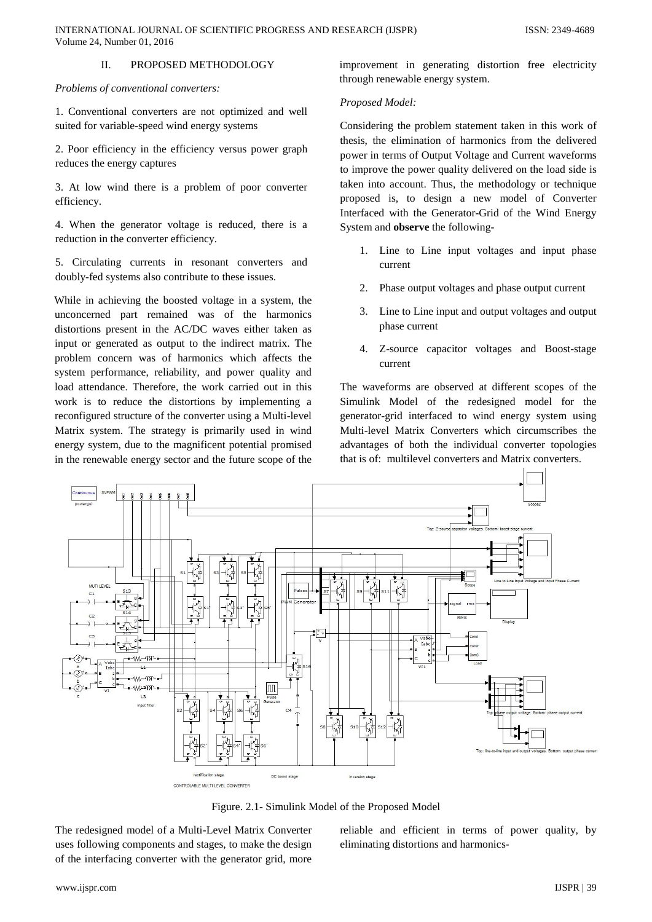# Volume 24, Number 01, 2016 II. PROPOSED METHODOLOGY

*Problems of conventional converters:*

1. Conventional converters are not optimized and well suited for variable-speed wind energy systems

2. Poor efficiency in the efficiency versus power graph reduces the energy captures

3. At low wind there is a problem of poor converter efficiency.

4. When the generator voltage is reduced, there is a reduction in the converter efficiency.

5. Circulating currents in resonant converters and doubly-fed systems also contribute to these issues.

While in achieving the boosted voltage in a system, the unconcerned part remained was of the harmonics distortions present in the AC/DC waves either taken as input or generated as output to the indirect matrix. The problem concern was of harmonics which affects the system performance, reliability, and power quality and load attendance. Therefore, the work carried out in this work is to reduce the distortions by implementing a reconfigured structure of the converter using a Multi-level Matrix system. The strategy is primarily used in wind energy system, due to the magnificent potential promised in the renewable energy sector and the future scope of the

improvement in generating distortion free electricity through renewable energy system.

# *Proposed Model:*

Considering the problem statement taken in this work of thesis, the elimination of harmonics from the delivered power in terms of Output Voltage and Current waveforms to improve the power quality delivered on the load side is taken into account. Thus, the methodology or technique proposed is, to design a new model of Converter Interfaced with the Generator-Grid of the Wind Energy System and **observe** the following-

- 1. Line to Line input voltages and input phase current
- 2. Phase output voltages and phase output current
- 3. Line to Line input and output voltages and output phase current
- 4. Z-source capacitor voltages and Boost-stage current

The waveforms are observed at different scopes of the Simulink Model of the redesigned model for the generator-grid interfaced to wind energy system using Multi-level Matrix Converters which circumscribes the advantages of both the individual converter topologies that is of: multilevel converters and Matrix converters.



Figure. 2.1- Simulink Model of the Proposed Model

The redesigned model of a Multi-Level Matrix Converter uses following components and stages, to make the design of the interfacing converter with the generator grid, more

reliable and efficient in terms of power quality, by eliminating distortions and harmonics-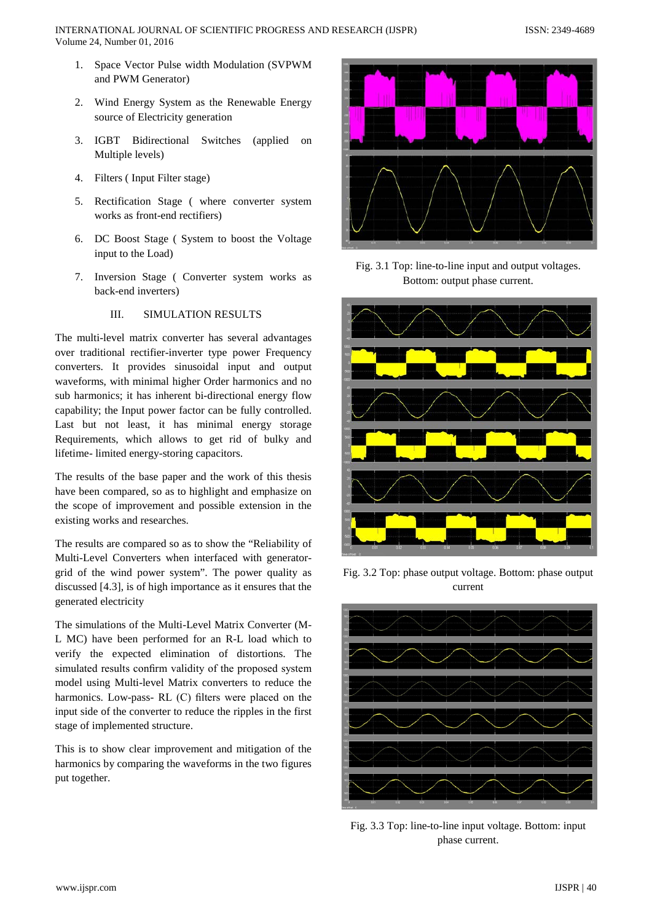- 1. Space Vector Pulse width Modulation (SVPWM and PWM Generator)
- 2. Wind Energy System as the Renewable Energy source of Electricity generation
- 3. IGBT Bidirectional Switches (applied on Multiple levels)
- 4. Filters ( Input Filter stage)
- 5. Rectification Stage ( where converter system works as front-end rectifiers)
- 6. DC Boost Stage ( System to boost the Voltage input to the Load)
- 7. Inversion Stage ( Converter system works as back-end inverters)

# III. SIMULATION RESULTS

The multi-level matrix converter has several advantages over traditional rectifier-inverter type power Frequency converters. It provides sinusoidal input and output waveforms, with minimal higher Order harmonics and no sub harmonics; it has inherent bi-directional energy flow capability; the Input power factor can be fully controlled. Last but not least, it has minimal energy storage Requirements, which allows to get rid of bulky and lifetime- limited energy-storing capacitors.

The results of the base paper and the work of this thesis have been compared, so as to highlight and emphasize on the scope of improvement and possible extension in the existing works and researches.

The results are compared so as to show the "Reliability of Multi-Level Converters when interfaced with generatorgrid of the wind power system". The power quality as discussed [4.3], is of high importance as it ensures that the generated electricity

The simulations of the Multi-Level Matrix Converter (M-L MC) have been performed for an R-L load which to verify the expected elimination of distortions. The simulated results confirm validity of the proposed system model using Multi-level Matrix converters to reduce the harmonics. Low-pass- RL (C) filters were placed on the input side of the converter to reduce the ripples in the first stage of implemented structure.

This is to show clear improvement and mitigation of the harmonics by comparing the waveforms in the two figures put together.



Fig. 3.1 Top: line-to-line input and output voltages. Bottom: output phase current.



Fig. 3.2 Top: phase output voltage. Bottom: phase output current



Fig. 3.3 Top: line-to-line input voltage. Bottom: input phase current.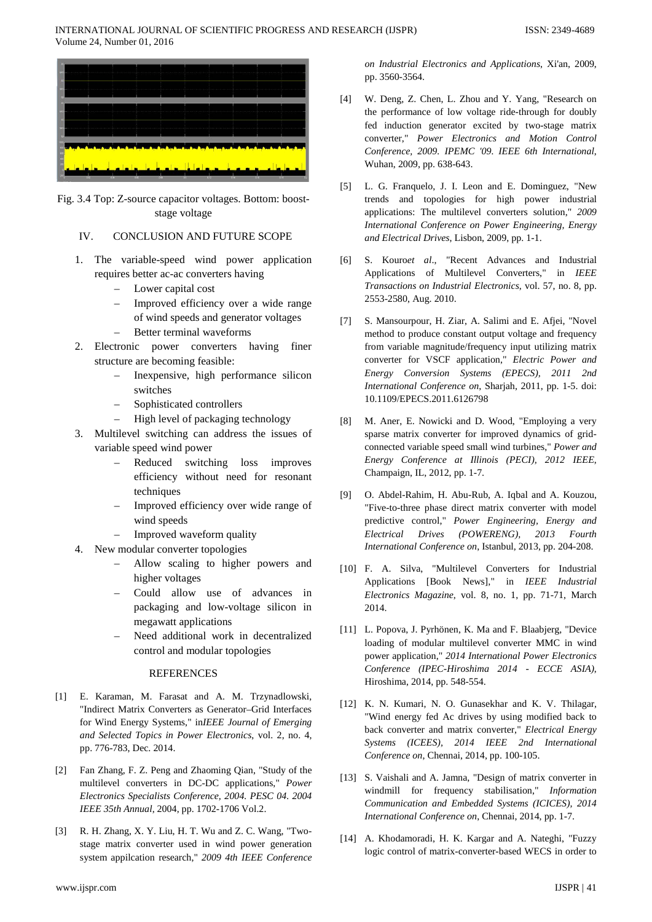

Fig. 3.4 Top: Z-source capacitor voltages. Bottom: booststage voltage

### IV. CONCLUSION AND FUTURE SCOPE

- 1. The variable-speed wind power application requires better ac-ac converters having
	- Lower capital cost
	- Improved efficiency over a wide range of wind speeds and generator voltages
	- Better terminal waveforms
- 2. Electronic power converters having finer structure are becoming feasible:
	- Inexpensive, high performance silicon switches
	- Sophisticated controllers
	- High level of packaging technology
- 3. Multilevel switching can address the issues of variable speed wind power
	- Reduced switching loss improves efficiency without need for resonant techniques
	- Improved efficiency over wide range of wind speeds
	- Improved waveform quality
- 4. New modular converter topologies
	- Allow scaling to higher powers and higher voltages
	- Could allow use of advances in packaging and low-voltage silicon in megawatt applications
	- Need additional work in decentralized control and modular topologies

#### REFERENCES

- [1] E. Karaman, M. Farasat and A. M. Trzynadlowski, "Indirect Matrix Converters as Generator–Grid Interfaces for Wind Energy Systems," in*IEEE Journal of Emerging and Selected Topics in Power Electronics*, vol. 2, no. 4, pp. 776-783, Dec. 2014.
- [2] Fan Zhang, F. Z. Peng and Zhaoming Qian, "Study of the multilevel converters in DC-DC applications," *Power Electronics Specialists Conference, 2004. PESC 04. 2004 IEEE 35th Annual*, 2004, pp. 1702-1706 Vol.2.
- [3] R. H. Zhang, X. Y. Liu, H. T. Wu and Z. C. Wang, "Twostage matrix converter used in wind power generation system appilcation research," *2009 4th IEEE Conference*

*on Industrial Electronics and Applications*, Xi'an, 2009, pp. 3560-3564.

- [4] W. Deng, Z. Chen, L. Zhou and Y. Yang, "Research on the performance of low voltage ride-through for doubly fed induction generator excited by two-stage matrix converter," *Power Electronics and Motion Control Conference, 2009. IPEMC '09. IEEE 6th International*, Wuhan, 2009, pp. 638-643.
- [5] L. G. Franquelo, J. I. Leon and E. Dominguez, "New trends and topologies for high power industrial applications: The multilevel converters solution," *2009 International Conference on Power Engineering, Energy and Electrical Drives*, Lisbon, 2009, pp. 1-1.
- [6] S. Kouro*et al*., "Recent Advances and Industrial Applications of Multilevel Converters," in *IEEE Transactions on Industrial Electronics*, vol. 57, no. 8, pp. 2553-2580, Aug. 2010.
- [7] S. Mansourpour, H. Ziar, A. Salimi and E. Afjei, "Novel method to produce constant output voltage and frequency from variable magnitude/frequency input utilizing matrix converter for VSCF application," *Electric Power and Energy Conversion Systems (EPECS), 2011 2nd International Conference on*, Sharjah, 2011, pp. 1-5. doi: 10.1109/EPECS.2011.6126798
- [8] M. Aner, E. Nowicki and D. Wood, "Employing a very sparse matrix converter for improved dynamics of gridconnected variable speed small wind turbines," *Power and Energy Conference at Illinois (PECI), 2012 IEEE*, Champaign, IL, 2012, pp. 1-7.
- [9] O. Abdel-Rahim, H. Abu-Rub, A. Iqbal and A. Kouzou, "Five-to-three phase direct matrix converter with model predictive control," *Power Engineering, Energy and Electrical Drives (POWERENG), 2013 Fourth International Conference on*, Istanbul, 2013, pp. 204-208.
- [10] F. A. Silva, "Multilevel Converters for Industrial Applications [Book News]," in *IEEE Industrial Electronics Magazine*, vol. 8, no. 1, pp. 71-71, March 2014.
- [11] L. Popova, J. Pyrhönen, K. Ma and F. Blaabjerg, "Device loading of modular multilevel converter MMC in wind power application," *2014 International Power Electronics Conference (IPEC-Hiroshima 2014 - ECCE ASIA)*, Hiroshima, 2014, pp. 548-554.
- [12] K. N. Kumari, N. O. Gunasekhar and K. V. Thilagar, "Wind energy fed Ac drives by using modified back to back converter and matrix converter," *Electrical Energy Systems (ICEES), 2014 IEEE 2nd International Conference on*, Chennai, 2014, pp. 100-105.
- [13] S. Vaishali and A. Jamna, "Design of matrix converter in windmill for frequency stabilisation," *Information Communication and Embedded Systems (ICICES), 2014 International Conference on*, Chennai, 2014, pp. 1-7.
- [14] A. Khodamoradi, H. K. Kargar and A. Nateghi, "Fuzzy logic control of matrix-converter-based WECS in order to